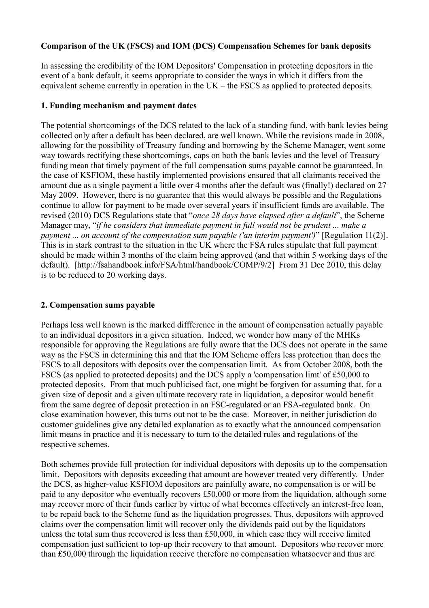## **Comparison of the UK (FSCS) and IOM (DCS) Compensation Schemes for bank deposits**

In assessing the credibility of the IOM Depositors' Compensation in protecting depositors in the event of a bank default, it seems appropriate to consider the ways in which it differs from the equivalent scheme currently in operation in the UK – the FSCS as applied to protected deposits.

## **1. Funding mechanism and payment dates**

The potential shortcomings of the DCS related to the lack of a standing fund, with bank levies being collected only after a default has been declared, are well known. While the revisions made in 2008, allowing for the possibility of Treasury funding and borrowing by the Scheme Manager, went some way towards rectifying these shortcomings, caps on both the bank levies and the level of Treasury funding mean that timely payment of the full compensation sums payable cannot be guaranteed. In the case of KSFIOM, these hastily implemented provisions ensured that all claimants received the amount due as a single payment a little over 4 months after the default was (finally!) declared on 27 May 2009. However, there is no guarantee that this would always be possible and the Regulations continue to allow for payment to be made over several years if insufficient funds are available. The revised (2010) DCS Regulations state that "*once 28 days have elapsed after a default*", the Scheme Manager may, "*if he considers that immediate payment in full would not be prudent ... make a payment ... on account of the compensation sum payable ('an interim payment')*" [Regulation 11(2)]. This is in stark contrast to the situation in the UK where the FSA rules stipulate that full payment should be made within 3 months of the claim being approved (and that within 5 working days of the default). [http://fsahandbook.info/FSA/html/handbook/COMP/9/2] From 31 Dec 2010, this delay is to be reduced to 20 working days.

## **2. Compensation sums payable**

Perhaps less well known is the marked diffference in the amount of compensation actually payable to an individual depositors in a given situation. Indeed, we wonder how many of the MHKs responsible for approving the Regulations are fully aware that the DCS does not operate in the same way as the FSCS in determining this and that the IOM Scheme offers less protection than does the FSCS to all depositors with deposits over the compensation limit. As from October 2008, both the FSCS (as applied to protected deposits) and the DCS apply a 'compensation limt' of £50,000 to protected deposits. From that much publicised fact, one might be forgiven for assuming that, for a given size of deposit and a given ultimate recovery rate in liquidation, a depositor would benefit from the same degree of deposit protection in an FSC-regulated or an FSA-regulated bank. On close examination however, this turns out not to be the case. Moreover, in neither jurisdiction do customer guidelines give any detailed explanation as to exactly what the announced compensation limit means in practice and it is necessary to turn to the detailed rules and regulations of the respective schemes.

Both schemes provide full protection for individual depositors with deposits up to the compensation limit. Depositors with deposits exceeding that amount are however treated very differently. Under the DCS, as higher-value KSFIOM depositors are painfully aware, no compensation is or will be paid to any depositor who eventually recovers £50,000 or more from the liquidation, although some may recover more of their funds earlier by virtue of what becomes effectively an interest-free loan, to be repaid back to the Scheme fund as the liquidation progresses. Thus, depositors with approved claims over the compensation limit will recover only the dividends paid out by the liquidators unless the total sum thus recovered is less than £50,000, in which case they will receive limited compensation just sufficient to top-up their recovery to that amount. Depositors who recover more than £50,000 through the liquidation receive therefore no compensation whatsoever and thus are